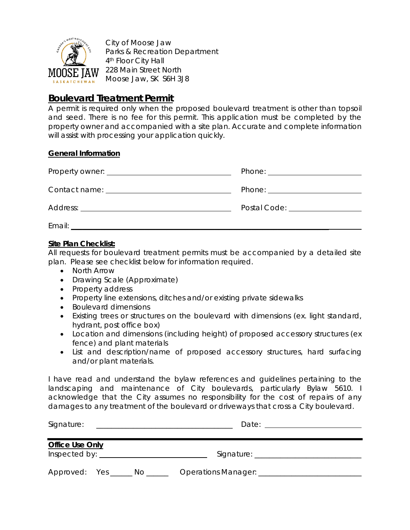

City of Moose Jaw Parks & Recreation Department 4<sup>th</sup> Floor City Hall 228 Main Street North Moose Jaw, SK S6H 3J8

## **Boulevard Treatment Permit**

A permit is required only when the proposed boulevard treatment is other than topsoil and seed. There is no fee for this permit. This application must be completed by the property owner and accompanied with a site plan. Accurate and complete information will assist with processing your application quickly.

## **General Information**

|        | Phone: _______________________         |
|--------|----------------------------------------|
|        |                                        |
|        | Postal Code: The Contract of the Code: |
| Email: |                                        |

## **Site Plan Checklist:**

All requests for boulevard treatment permits must be accompanied by a detailed site plan. Please see checklist below for information required.

- North Arrow
- Drawing Scale (Approximate)
- Property address
- Property line extensions, ditches and/or existing private sidewalks
- Boulevard dimensions
- Existing trees or structures on the boulevard with dimensions (ex. light standard, hydrant, post office box)
- Location and dimensions (including height) of proposed accessory structures (ex fence) and plant materials
- List and description/name of proposed accessory structures, hard surfacing and/or plant materials.

I have read and understand the bylaw references and guidelines pertaining to the landscaping and maintenance of City boulevards, particularly Bylaw 5610. I acknowledge that the City assumes no responsibility for the cost of repairs of any damages to any treatment of the boulevard or driveways that cross a City boulevard.

| Signature:                   | Date:                        |
|------------------------------|------------------------------|
|                              |                              |
| <b>Office Use Only</b>       |                              |
|                              | Signature: _________________ |
| Approved: Yes ______<br>No l | Operations Manager: _______  |